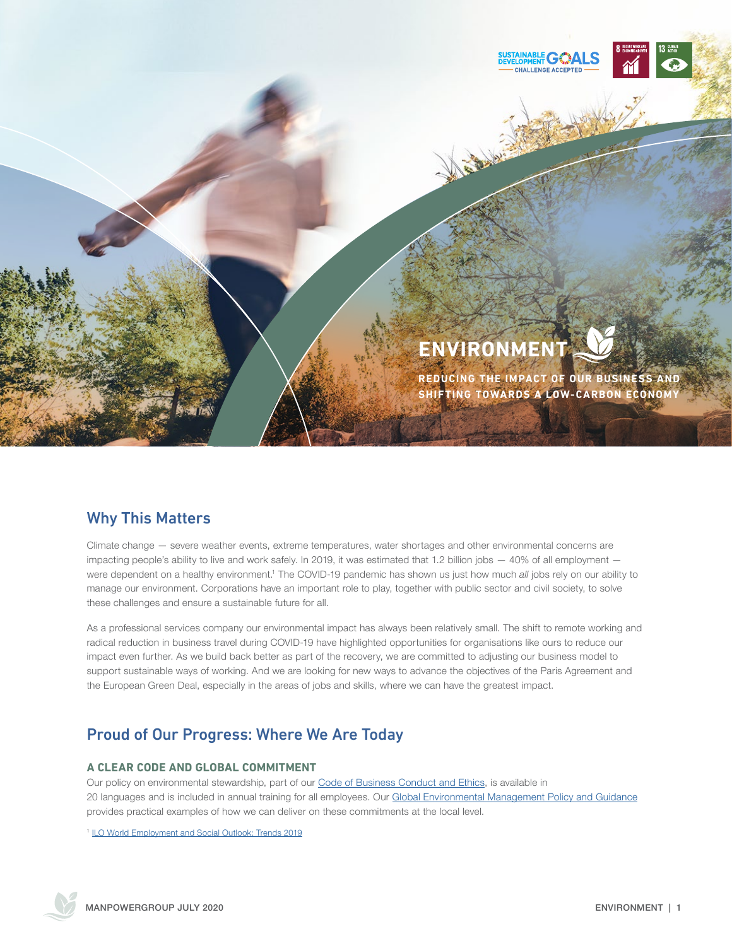

# **ENVIRONMENT**

REAL AVE

**REDUCING THE IMPACT OF OUR BUSINESS AND SHIFTING TOWARDS A LOW-CARBON ECONOMY**

# Why This Matters

Climate change — severe weather events, extreme temperatures, water shortages and other environmental concerns are impacting people's ability to live and work safely. In 2019, it was estimated that 1.2 billion jobs  $-40\%$  of all employment  $$ were dependent on a healthy environment.<sup>1</sup> The COVID-19 pandemic has shown us just how much all jobs rely on our ability to manage our environment. Corporations have an important role to play, together with public sector and civil society, to solve these challenges and ensure a sustainable future for all.

As a professional services company our environmental impact has always been relatively small. The shift to remote working and radical reduction in business travel during COVID-19 have highlighted opportunities for organisations like ours to reduce our impact even further. As we build back better as part of the recovery, we are committed to adjusting our business model to support sustainable ways of working. And we are looking for new ways to advance the objectives of the Paris Agreement and the European Green Deal, especially in the areas of jobs and skills, where we can have the greatest impact.

# Proud of Our Progress: Where We Are Today

#### **A CLEAR CODE AND GLOBAL COMMITMENT**

Our policy on environmental stewardship, part of our [Code of Business Conduct and Ethics,](https://manpowergroup.com/ethics/code-of-business-conduct-and-ethics) is available in 20 languages and is included in annual training for all employees. Our [Global Environmental Management Policy and Guidance](https://manpowergroup.com/wcm/connect/ae58fdee-1562-43af-8ac7-ecf7a9226fc5/Environmental_Mgnt_Policy_2016.pdf?MOD=AJPERES&CVID=mR5YkDB) provides practical examples of how we can deliver on these commitments at the local level.

<sup>1</sup> [ILO World Employment and Social Outlook: Trends 2019](https://www.ilo.org/global/research/global-reports/weso/2019/WCMS_670542/lang--en/index.htm)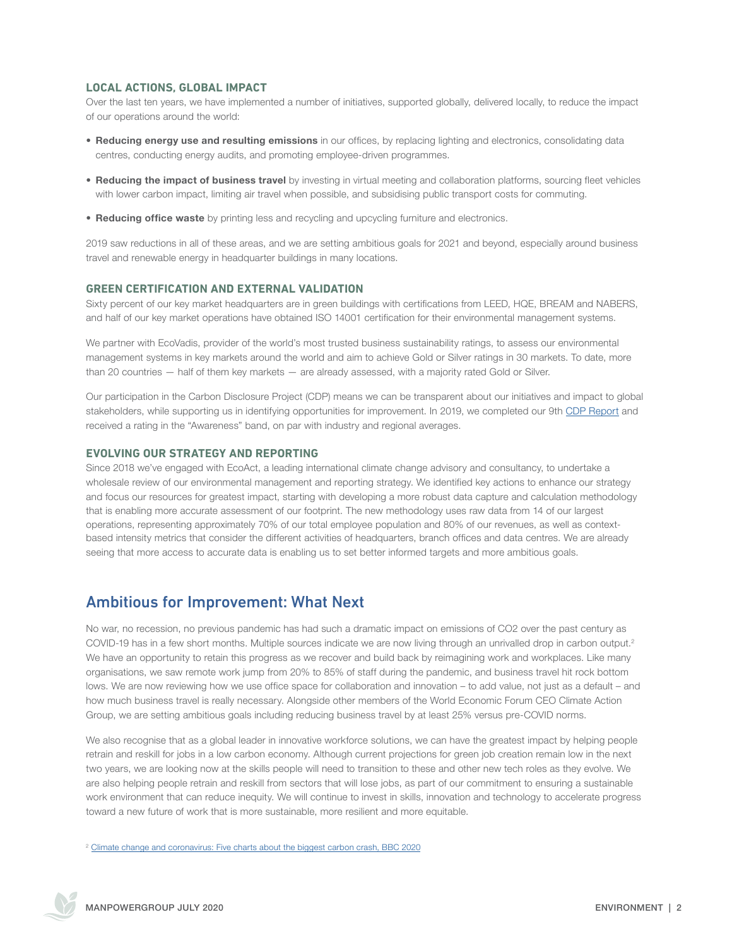#### **LOCAL ACTIONS, GLOBAL IMPACT**

Over the last ten years, we have implemented a number of initiatives, supported globally, delivered locally, to reduce the impact of our operations around the world:

- Reducing energy use and resulting emissions in our offices, by replacing lighting and electronics, consolidating data centres, conducting energy audits, and promoting employee-driven programmes.
- Reducing the impact of business travel by investing in virtual meeting and collaboration platforms, sourcing fleet vehicles with lower carbon impact, limiting air travel when possible, and subsidising public transport costs for commuting.
- Reducing office waste by printing less and recycling and upcycling furniture and electronics.

2019 saw reductions in all of these areas, and we are setting ambitious goals for 2021 and beyond, especially around business travel and renewable energy in headquarter buildings in many locations.

#### **GREEN CERTIFICATION AND EXTERNAL VALIDATION**

Sixty percent of our key market headquarters are in green buildings with certifications from LEED, HQE, BREAM and NABERS, and half of our key market operations have obtained ISO 14001 certification for their environmental management systems.

We partner with EcoVadis, provider of the world's most trusted business sustainability ratings, to assess our environmental management systems in key markets around the world and aim to achieve Gold or Silver ratings in 30 markets. To date, more than 20 countries — half of them key markets — are already assessed, with a majority rated Gold or Silver.

Our participation in the Carbon Disclosure Project (CDP) means we can be transparent about our initiatives and impact to global stakeholders, while supporting us in identifying opportunities for improvement. In 2019, we completed our 9th [CDP Report](https://manpowergroup.com/wcm/connect/02328a28-aec4-424b-a42f-ff49dfc50101/2019+CDP+Report.pdf?MOD=AJPERES&CVID=mXobMvY) and received a rating in the "Awareness" band, on par with industry and regional averages.

#### **EVOLVING OUR STRATEGY AND REPORTING**

Since 2018 we've engaged with EcoAct, a leading international climate change advisory and consultancy, to undertake a wholesale review of our environmental management and reporting strategy. We identified key actions to enhance our strategy and focus our resources for greatest impact, starting with developing a more robust data capture and calculation methodology that is enabling more accurate assessment of our footprint. The new methodology uses raw data from 14 of our largest operations, representing approximately 70% of our total employee population and 80% of our revenues, as well as contextbased intensity metrics that consider the different activities of headquarters, branch offices and data centres. We are already seeing that more access to accurate data is enabling us to set better informed targets and more ambitious goals.

### Ambitious for Improvement: What Next

No war, no recession, no previous pandemic has had such a dramatic impact on emissions of CO2 over the past century as COVID-19 has in a few short months. Multiple sources indicate we are now living through an unrivalled drop in carbon output.<sup>2</sup> We have an opportunity to retain this progress as we recover and build back by reimagining work and workplaces. Like many organisations, we saw remote work jump from 20% to 85% of staff during the pandemic, and business travel hit rock bottom lows. We are now reviewing how we use office space for collaboration and innovation – to add value, not just as a default – and how much business travel is really necessary. Alongside other members of the World Economic Forum CEO Climate Action Group, we are setting ambitious goals including reducing business travel by at least 25% versus pre-COVID norms.

We also recognise that as a global leader in innovative workforce solutions, we can have the greatest impact by helping people retrain and reskill for jobs in a low carbon economy. Although current projections for green job creation remain low in the next two years, we are looking now at the skills people will need to transition to these and other new tech roles as they evolve. We are also helping people retrain and reskill from sectors that will lose jobs, as part of our commitment to ensuring a sustainable work environment that can reduce inequity. We will continue to invest in skills, innovation and technology to accelerate progress toward a new future of work that is more sustainable, more resilient and more equitable.

<sup>2</sup> [Climate change and coronavirus: Five charts about the biggest carbon crash, BBC 2020](https://www.bbc.com/news/science-environment-52485712)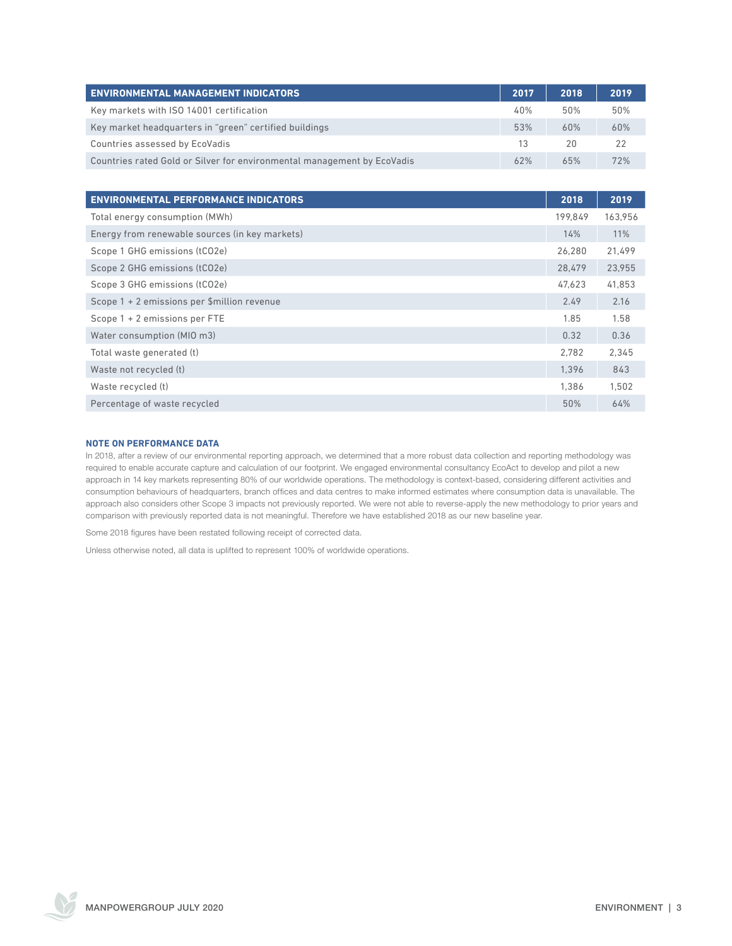| <b>ENVIRONMENTAL MANAGEMENT INDICATORS</b>                              | 2017 | 2018 | 2019 |
|-------------------------------------------------------------------------|------|------|------|
| Key markets with ISO 14001 certification                                | 40%  | 50%  | 50%  |
| Key market headquarters in "green" certified buildings                  | 53%  | 60%  | 60%  |
| Countries assessed by EcoVadis                                          | 13   | 20   | 22   |
| Countries rated Gold or Silver for environmental management by EcoVadis | 62%  | 65%  | 72%  |

| <b>ENVIRONMENTAL PERFORMANCE INDICATORS</b>    | 2018    | 2019    |
|------------------------------------------------|---------|---------|
| Total energy consumption (MWh)                 | 199.849 | 163,956 |
| Energy from renewable sources (in key markets) | 14%     | 11%     |
| Scope 1 GHG emissions (tCO2e)                  | 26.280  | 21,499  |
| Scope 2 GHG emissions (tCO2e)                  | 28.479  | 23,955  |
| Scope 3 GHG emissions (tCO2e)                  | 47.623  | 41,853  |
| Scope 1 + 2 emissions per \$million revenue    | 2.49    | 2.16    |
| Scope 1 + 2 emissions per FTE                  | 1.85    | 1.58    |
| Water consumption (MIO m3)                     | 0.32    | 0.36    |
| Total waste generated (t)                      | 2.782   | 2,345   |
| Waste not recycled (t)                         | 1.396   | 843     |
| Waste recycled (t)                             | 1.386   | 1.502   |
| Percentage of waste recycled                   | 50%     | 64%     |

#### **NOTE ON PERFORMANCE DATA**

In 2018, after a review of our environmental reporting approach, we determined that a more robust data collection and reporting methodology was required to enable accurate capture and calculation of our footprint. We engaged environmental consultancy EcoAct to develop and pilot a new approach in 14 key markets representing 80% of our worldwide operations. The methodology is context-based, considering different activities and consumption behaviours of headquarters, branch offices and data centres to make informed estimates where consumption data is unavailable. The approach also considers other Scope 3 impacts not previously reported. We were not able to reverse-apply the new methodology to prior years and comparison with previously reported data is not meaningful. Therefore we have established 2018 as our new baseline year.

Some 2018 figures have been restated following receipt of corrected data.

Unless otherwise noted, all data is uplifted to represent 100% of worldwide operations.